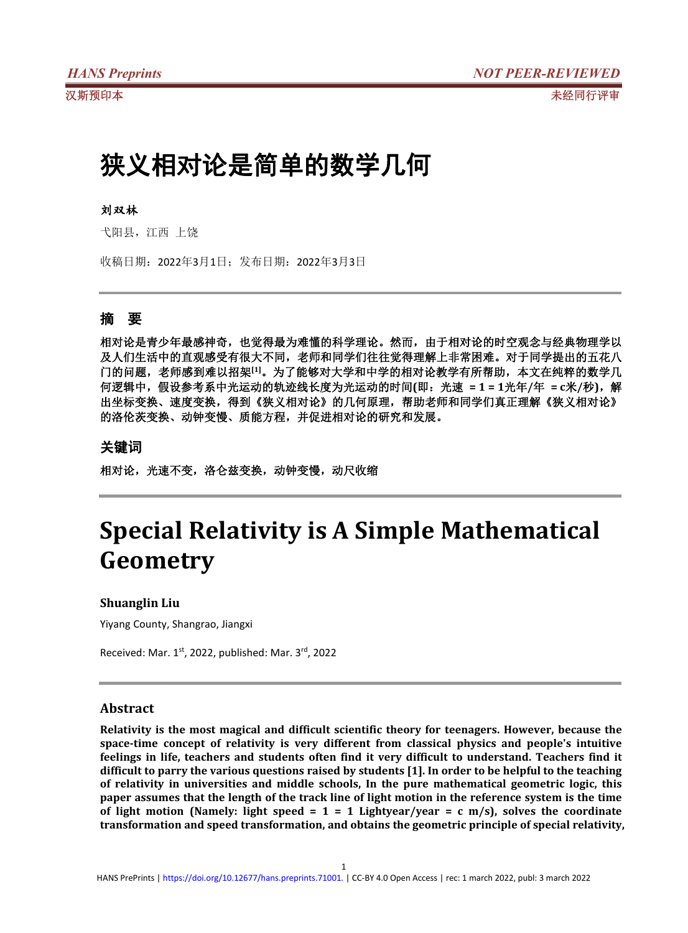# 狭义相对论是简单的数学几何

### 刘双林

弋阳县,江西 上饶

收稿日期:2022年3月1日;发布日期:2022年3月3日

## 摘 要

相对论是青少年最感神奇,也觉得最为难懂的科学理论。然而,由于相对论的时空观念与经典物理学以 及人们生活中的直观感受有很大不同,老师和同学们往往觉得理解上非常困难。对于同学提出的五花八 门的问题,老师感到难以招架**[1]**。为了能够对大学和中学的相对论教学有所帮助,本文在纯粹的数学几 何逻辑中,假设参考系中光运动的轨迹线长度为光运动的时间**(**即:光速 **= 1 = 1**光年**/**年 **= c**米**/**秒**)**,解 出坐标变换、速度变换,得到《狭义相对论》的几何原理,帮助老师和同学们真正理解《狭义相对论》 的洛伦茨变换、动钟变慢、质能方程,并促进相对论的研究和发展。

## 关键词

相对论,光速不变,洛仑兹变换,动钟变慢,动尺收缩

# **Special Relativity is A Simple Mathematical Geometry**

## **Shuanglin Liu**

Yiyang County, Shangrao, Jiangxi

Received: Mar. 1<sup>st</sup>, 2022, published: Mar. 3<sup>rd</sup>, 2022

## **Abstract**

**Relativity is the most magical and difficult scientific theory for teenagers. However, because the space-time concept of relativity is very different from classical physicsand people's intuitive feelings in life, teachers and students often find it very difficult to understand. Teachers find it difficult to parry the various questions raised bystudents [1]. In order to be helpfulto the teaching of relativity in universities and middle schools, In the pure mathematical geometric logic, this** paper assumes that the length of the track line of light motion in the reference system is the time **of light motion (Namely: light speed = 1 = 1 Lightyear/year = c m/s), solves the coordinate transformation and speed transformation, and obtains the geometric principle of special relativity,**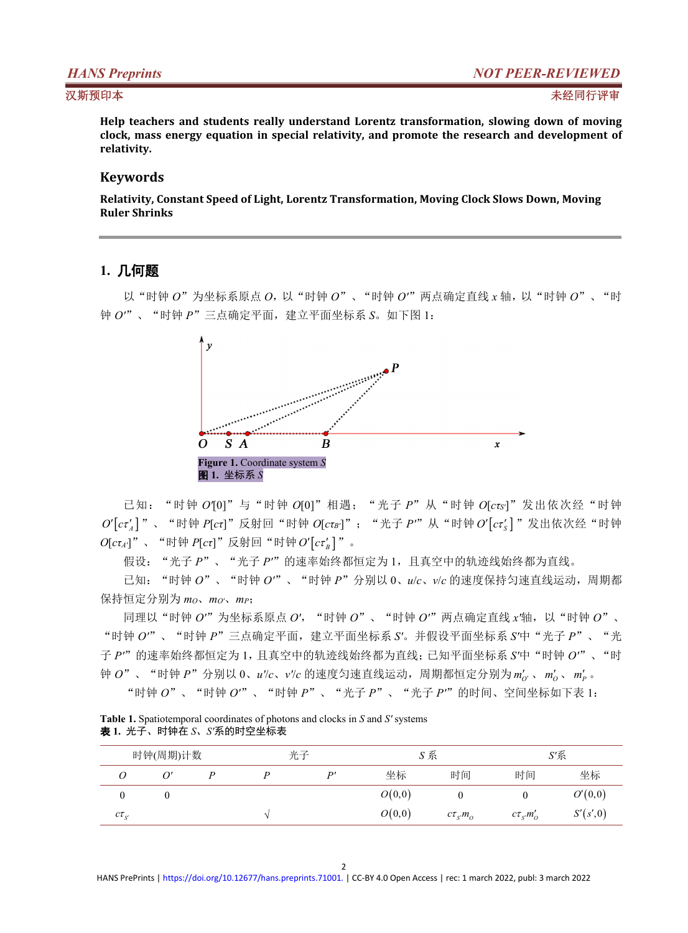**Help teachers and students really understand Lorentz transformation, slowing down of moving clock, mass energy equation in special relativity, and promote the research and development of relativity.**

## **Keywords**

**Relativity, Constant Speed of Light, Lorentz Transformation, Moving Clock Slows Down, Moving Ruler Shrinks**

## **1.** 几何题

以"时钟 *O*"为坐标系原点 *O*,以"时钟 *O*"、"时钟 *O'*"两点确定直线 *x* 轴,以"时钟 *O*"、"时 钟 *O'*"、"时钟 *P*"三点确定平面,建立平面坐标系 *S*。如下图 1:



已知:"时钟 *O'*[0]"与"时钟 *O*[0]"相遇;"光子 *P*"从"时钟 *O*[*cτS'*]"发出依次经"时钟  $O^\prime[\textit{c}\tau'_A]$  "、"时钟 *P*[ $c$ τ]"反射回"时钟 *O*[ $c$ τ $_B$ ']"; "光子 *P'"* 从"时钟  $O^\prime[\textit{c}\tau'_S]$  "发出依次经"时钟  $O[ct_A']$ " 、 "时钟  $P[ct]$ " 反射回 "时钟 $O'[ct_B']$  " 。

假设:"光子 *P*"、"光子 *P'*"的速率始终都恒定为 1,且真空中的轨迹线始终都为直线。

已知:"时钟 *O*"、"时钟 *O'*"、"时钟 *P*"分别以 0、*u*/*c*、*v*/*c* 的速度保持匀速直线运动,周期都 保持恒定分别为 *mO*、*mO'*、*mP*;

同理以"时钟 *O'*"为坐标系原点 *O'*,"时钟 *O*"、"时钟 *O'*"两点确定直线 *x'*轴,以"时钟 *O*"、 "时钟 *O'*"、"时钟 *P*"三点确定平面,建立平面坐标系 *S'*。并假设平面坐标系 *S'*中"光子 *P*"、"光 子 *P'*"的速率始终都恒定为 1,且真空中的轨迹线始终都为直线;已知平面坐标系 *S'*中"时钟 *O'*"、"时 钟 *O*" 、"时钟 *P*" 分别以 0、*u'/c、v'/c* 的速度匀速直线运动,周期都恒定分别为 m'<sub>O'</sub> 、 m'<sub>O</sub> 、m'<sub>P</sub> 。  $\frac{1}{p}$ 

"时钟 *O*"、"时钟 *O'*"、"时钟 *P*"、"光子 *P*"、"光子 *P'*"的时间、空间坐标如下表 1:

|  | <b>Table 1.</b> Spatiotemporal coordinates of photons and clocks in S and S' systems |  |
|--|--------------------------------------------------------------------------------------|--|
|  | <b>表 1.</b> 光子、时钟在 <i>S、S</i> '系的时空坐标表                                               |  |

| 时钟(周期)计数        |   | 光子 |  | S系 |        | S'系             |                 |          |
|-----------------|---|----|--|----|--------|-----------------|-----------------|----------|
| ◡               |   |    |  | D' | 坐标     | 时间              | 时间              | 坐标       |
|                 | υ |    |  |    | O(0,0) |                 | U               | O'(0,0)  |
| $c\tau_{\rm c}$ |   |    |  |    | O(0,0) | $c\tau_{s'}m_o$ | $c\tau_{s'}m_0$ | S'(s',0) |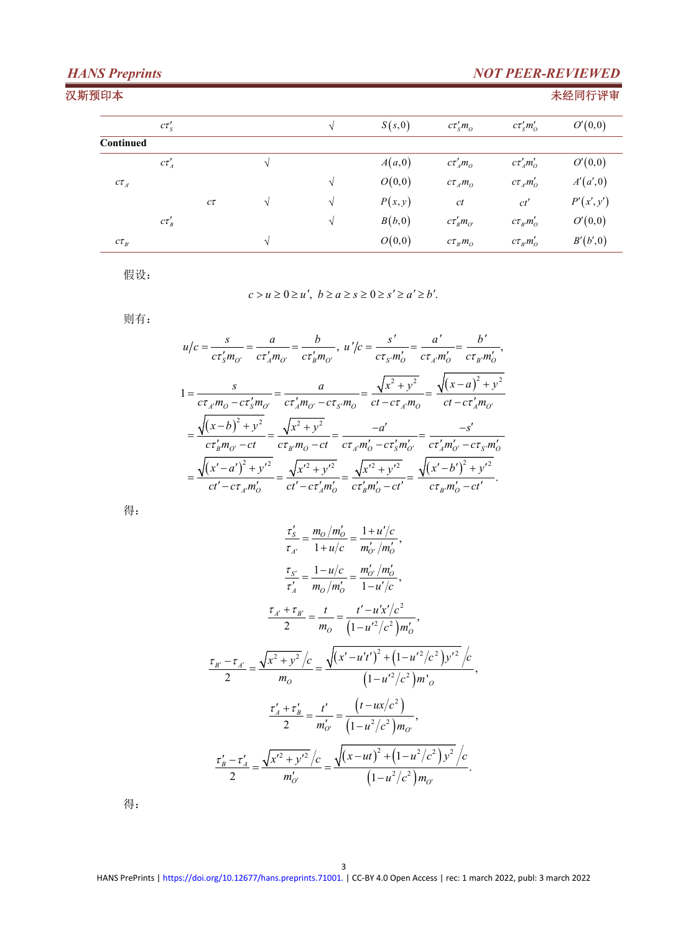## *HANS Preprints NOT PEER-REVIEWED* 汉斯预印本 未经同行评审  $c\tau'_{S}$  *S (s,0)*  $c\tau'_{S}m_{O}$   $c\tau'_{S}m_{O}'$  *O*<sup> $\prime$ </sup>(0*,0*) **Continued**  $c\tau'_{A}$  *a A*<sub> $(a,0)$  *c*  $c\tau'_{A}m_{O}$  *c*  $c\tau'_{A}m_{O}'$  *C*<sup> $\prime$ </sup> $(0,0)$ </sub>  $\alpha \tau_{A}$  *C C*<sub>*A*</sub> *C*<sub>*A*</sub> *M*<sub>*a*</sub> *A*<sub>*a*</sub> *A*<sup>*a*</sup><sub>*A*</sub><sup>*A*</sup><sub>*a*</sub> *A*<sup>*a*</sup><sub>*A*</sub><sup>*A*</sup><sub>*A*</sub><sup>*A*</sup><sub>*A*</sub><sup>*A*</sup><sub>*A*</sub><sup>*A*</sup><sub>*A*</sub><sup>*A*</sup><sub>*A*</sub><sup>*A*</sup>*A*<sup>*A*</sup>*A*<sup>*A*</sup>*A*<sup>*A*</sup>*A*<sup>*A*</sup>*A*<sup>*A*</sup>*A*<sup>*A*</sup>*A*<sup>*A*</sup>*A*<sup>*A*</sup>*A*<sup>*A*</sup>*A*<sup>*</sup> c √ √ P x*, *y ct ct P x*, *y*  $c\tau'_{B}$  *B*  $(b,0)$   $c\tau'_{B}m_{\sigma}$   $c\tau_{B}m'_{\sigma}$   $O'(0,0)$  $\alpha \tau_{B'}$  *C*<sub>*B*</sub>, *B*<sub>*B*</sub></sup>, *B*<sup> $\tau$ </sup>(*b*<sup> $\tau$ </sup>,0)

假设:

 $c > u \geq 0 \geq u', b \geq a \geq s \geq 0 \geq s' \geq a' \geq b'.$ 

则有:

$$
u/c = \frac{s}{c\tau'_s m_{o'}} = \frac{a}{c\tau'_a m_{o'}} = \frac{b}{c\tau'_b m_{o'}}, \ u'/c = \frac{s'}{c\tau_s m'_o} = \frac{a'}{c\tau_{s'} m'_o} = \frac{b'}{c\tau_{s'} m'_o},
$$
  
\n
$$
1 = \frac{s}{c\tau_{s'} m_o - c\tau'_s m_{o'}} = \frac{a}{c\tau'_a m_{o'} - c\tau_{s'} m_o} = \frac{\sqrt{x^2 + y^2}}{c\tau_{-c}\tau_{s'} m_o} = \frac{\sqrt{(x - a)^2 + y^2}}{c\tau_{-c}\tau'_{s'} m_{o'}}
$$
  
\n
$$
= \frac{\sqrt{(x - b)^2 + y^2}}{c\tau'_s m_{o'} - ct} = \frac{\sqrt{x^2 + y^2}}{c\tau_{s'} m_o - ct} = \frac{-a'}{c\tau_{s'} m'_o - c\tau'_s m'_{o'}} = \frac{-s'}{c\tau'_a m'_{o'} - c\tau_{s'} m'_{o'}}
$$
  
\n
$$
= \frac{\sqrt{(x' - a')^2 + y'^2}}{c\tau'_{-c}\tau_{s'} m'_o} = \frac{\sqrt{x'^2 + y'^2}}{c\tau'_s m'_o - c\tau'_s} = \frac{\sqrt{(x' - b')^2 + y'^2}}{c\tau_{s'} m'_o - c\tau'_s}.
$$

得:

$$
\frac{\tau'_{S}}{\tau_{A'}} = \frac{m_{O}/m'_{O}}{1+u/c} = \frac{1+u'/c}{m'_{O'}/m'_{O}},
$$
\n
$$
\frac{\tau_{S'}}{\tau'_{A}} = \frac{1-u/c}{m_{O}/m'_{O}} = \frac{m'_{O'}/m'_{O}}{1-u'/c},
$$
\n
$$
\frac{\tau_{A'} + \tau_{B'}}{2} = \frac{t}{m_{O}} = \frac{t'-u'x'/c^2}{(1-u'^2/c^2)m'_{O}},
$$
\n
$$
\frac{\tau_{B'} - \tau_{A'}}{2} = \frac{\sqrt{x^2 + y^2}/c}{m_{O}} = \frac{\sqrt{(x'-u't')^2 + (1-u'^2/c^2)y'^2}/c}{(1-u'^2/c^2)m'_{O}},
$$
\n
$$
\frac{\tau'_{A} + \tau'_{B}}{2} = \frac{t'}{m'_{O'}} = \frac{(t-ux/c^2)}{(1-u^2/c^2)m'_{O}},
$$
\n
$$
\frac{\tau'_{B} - \tau'_{A}}{2} = \frac{\sqrt{x'^2 + y'^2}/c}{m'_{O'}} = \frac{\sqrt{(x-ut)^2 + (1-u^2/c^2)y^2}/c}{(1-u^2/c^2)m'_{O}}.
$$

得: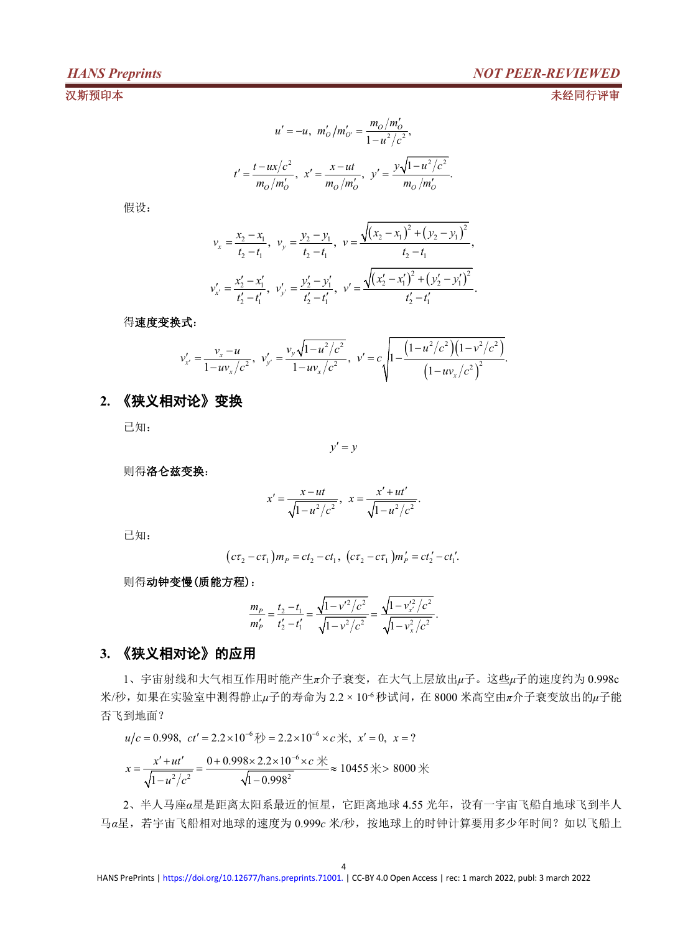## *HANS Preprints NOT PEER-REVIEWED*

汉斯预印本 未经同行评审

$$
u' = -u, \ m'_0/m'_{0'} = \frac{m_0/m'_0}{1 - u^2/c^2},
$$
  

$$
t' = \frac{t - ux/c^2}{m_0/m'_0}, \ x' = \frac{x - ut}{m_0/m'_0}, \ y' = \frac{y\sqrt{1 - u^2/c^2}}{m_0/m'_0}.
$$

假设:

$$
v_x = \frac{x_2 - x_1}{t_2 - t_1}, \quad v_y = \frac{y_2 - y_1}{t_2 - t_1}, \quad v = \frac{\sqrt{(x_2 - x_1)^2 + (y_2 - y_1)^2}}{t_2 - t_1},
$$
  

$$
v_{x'}' = \frac{x_2' - x_1'}{t_2' - t_1'}, \quad v_{y'}' = \frac{y_2' - y_1'}{t_2' - t_1'}, \quad v' = \frac{\sqrt{(x_2' - x_1')^2 + (y_2' - y_1')^2}}{t_2' - t_1'}.
$$

得速度变换式:

$$
v'_{x'} = \frac{v_x - u}{1 - uv_x/c^2}, \ v'_{y'} = \frac{v_y \sqrt{1 - u^2/c^2}}{1 - uv_x/c^2}, \ v' = c \sqrt{1 - \frac{(1 - u^2/c^2)(1 - v^2/c^2)}{(1 - uv_x/c^2)^2}}.
$$

## **2.** 《狭义相对论》变换

已知:

 $y' = y$ 

则得洛仑兹变换:

$$
x' = \frac{x - ut}{\sqrt{1 - u^2/c^2}}, \ \ x = \frac{x' + ut'}{\sqrt{1 - u^2/c^2}}.
$$

已知:

$$
(c\tau_2 - c\tau_1)m_P = ct_2 - ct_1
$$
,  $(c\tau_2 - c\tau_1)m'_P = ct'_2 - ct'_1$ .

则得动钟变慢(质能方程):

$$
\frac{m_P}{m'_P} = \frac{t_2 - t_1}{t'_2 - t'_1} = \frac{\sqrt{1 - v'^2/c^2}}{\sqrt{1 - v^2/c^2}} = \frac{\sqrt{1 - v'^2/c^2}}{\sqrt{1 - v^2_x/c^2}}.
$$

## **3.** 《狭义相对论》的应用

1、宇宙射线和大气相互作用时能产生*π*介子衰变,在大气上层放出*μ*子。这些*μ*子的速度约为 0.998c 米/秒,如果在实验室中测得静止μ子的寿命为 2.2 × 10<sup>.6</sup> 秒试问, 在 8000 米高空由π介子衰变放出的μ子能 否飞到地面?

$$
u/c = 0.998
$$
,  $ct' = 2.2 \times 10^{-6}$   $\text{\#}y = 2.2 \times 10^{-6} \times c$   $\text{\#}$ ,  $x' = 0$ ,  $x = ?$ 

$$
x = \frac{x' + ut'}{\sqrt{1 - u^2/c^2}} = \frac{0 + 0.998 \times 2.2 \times 10^{-6} \times c \frac{4}{10}}{\sqrt{1 - 0.998^2}} \approx 10455 \frac{4}{100} \approx 8000 \frac{4}{100} \approx 10455 \frac{4}{100} \approx 10455 \frac{4}{100} \approx 10455 \frac{4}{100} \approx 10455 \frac{4}{100} \approx 10455 \frac{4}{100} \approx 10455 \frac{4}{100} \approx 10455 \frac{4}{100} \approx 10455 \frac{4}{100} \approx 10455 \frac{4}{100} \approx 10455 \frac{4}{100} \approx 10455 \frac{4}{100} \approx 10455 \frac{4}{100} \approx 10455 \frac{4}{100} \approx 10455 \frac{4}{100} \approx 10455 \frac{4}{100} \approx 10455 \frac{4}{100} \approx 10455 \frac{4}{100} \approx 10455 \frac{4}{100} \approx 10455 \frac{4}{100} \approx 10455 \frac{4}{100} \approx 10455 \frac{4}{100} \approx 10455 \frac{4}{100} \approx 10455 \frac{4}{100} \approx 10455 \frac{4}{100} \approx 10455 \frac{4}{100} \approx 10455 \frac{4}{100} \approx 10455 \frac{4}{100} \approx 10455 \frac{4}{100} \approx 10455 \frac{4}{100} \approx 10455 \frac{4}{100} \approx 10455 \frac{4}{100} \approx 10455 \frac{4}{100} \approx 10455 \frac{4}{100} \approx 10455 \frac{4}{100} \approx 10455 \frac{4}{100} \approx 10455 \frac{4}{100} \approx 10455 \frac{4}{100} \approx 10455 \frac{4}{100} \approx 10455
$$

2、半人马座*α*星是距离太阳系最近的恒星,它距离地球 4.55 光年,设有一宇宙飞船自地球飞到半人 马α星,若宇宙飞船相对地球的速度为 0.999c 米/秒, 按地球上的时钟计算要用多少年时间?如以飞船上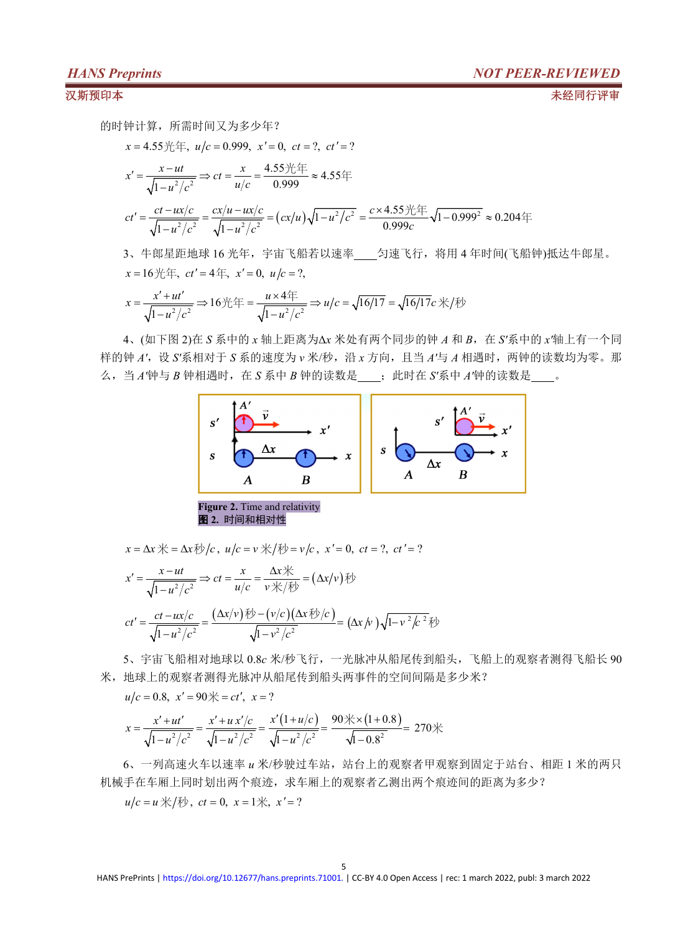汉斯预印本 未经同行评审

的时钟计算,所需时间又为多少年?

$$
x = 4.55 \frac{1}{1} \cdot \frac{u}{c} = 0.999, \ x' = 0, \ ct = ?, \ ct' = ?
$$
\n
$$
x' = \frac{x - ut}{\sqrt{1 - u^2/c^2}} \Rightarrow ct = \frac{x}{u/c} = \frac{4.55 \frac{1}{1} \cdot \frac{u}{c}}{0.999} \approx 4.55 \frac{u}{c}
$$
\n
$$
ct' = \frac{ct - ux/c}{\sqrt{1 - u^2/c^2}} = \frac{cx/u - ux/c}{\sqrt{1 - u^2/c^2}} = (cx/u)\sqrt{1 - u^2/c^2} = \frac{c \times 4.55 \frac{1}{1} \cdot \frac{u}{c}}{0.999c} \approx 0.204 \frac{u}{c}
$$
\n
$$
3. \ \pm \text{B4} \cdot \text{B4} \cdot \text{B5} \cdot \text{B5} \cdot \text{C5} \cdot \text{C6} \cdot \text{C6} \cdot \text{C6} \cdot \text{C6} \cdot \text{C6} \cdot \text{C6} \cdot \text{C6} \cdot \text{C6} \cdot \text{C6} \cdot \text{C6} \cdot \text{C6} \cdot \text{C6} \cdot \text{C6} \cdot \text{C6} \cdot \text{C6} \cdot \text{C6} \cdot \text{C6} \cdot \text{C6} \cdot \text{C6} \cdot \text{C6} \cdot \text{C6} \cdot \text{C6} \cdot \text{C6} \cdot \text{C6} \cdot \text{C6} \cdot \text{C6} \cdot \text{C6} \cdot \text{C6} \cdot \text{C6} \cdot \text{C6} \cdot \text{C6} \cdot \text{C6} \cdot \text{C6} \cdot \text{C6} \cdot \text{C6} \cdot \text{C6} \cdot \text{C6} \cdot \text{C6} \cdot \text{C6} \cdot \text{C6} \cdot \text{C6} \cdot \text{C6} \cdot \text{C6} \cdot \text{C6} \cdot \text{C6} \cdot \text{C6} \cdot \text{C6} \cdot \text{C6} \cdot \text{C6} \cdot \text{C6} \cdot \text{C6} \cdot \text{C6} \cdot \text{C6} \cdot \text{C6} \cdot \text{C6} \cdot \text{C6} \cdot \
$$

*x* = 16  $H$   $\oplus$ , *ct'* = 4  $\oplus$ , *x'* = 0, *u*/*c* = ?,

$$
x = \frac{x' + ut'}{\sqrt{1 - u^2/c^2}} \Rightarrow 16 \text{ H} = \frac{u \times 4}{\sqrt{1 - u^2/c^2}} \Rightarrow u/c = \sqrt{16/17} = \sqrt{16/17}c \text{ H}/\sqrt{16}
$$

4、(如下图 2)在 *S* 系中的 *x* 轴上距离为Δ*x* 米处有两个同步的钟 *A* 和 *B*,在 *S'*系中的 *x'*轴上有一个同 样的钟 A', 设 S'系相对于 S 系的速度为 v 米/秒, 沿 x 方向, 且当 A'与 A 相遇时, 两钟的读数均为零。那 么,当 *A'*钟与 *B* 钟相遇时,在 *S* 系中 *B* 钟的读数是 ;此时在 *S'*系中 *A'*钟的读数是 。



 $x = \Delta x \nless 0$ ,  $x = \Delta x \nless 0$ ,  $y = v \nless 0$ ,  $x' = 0$ ,  $ct = ?$ ,  $ct' = ?$ 

$$
x' = \frac{x - ut}{\sqrt{1 - u^2/c^2}} \Rightarrow ct = \frac{x}{u/c} = \frac{\Delta x \cdot \mathbb{R}}{v \cdot \mathbb{R}/\sqrt{v}} = (\Delta x/v) \cdot \mathbb{R}
$$
  

$$
ct' = \frac{ct - ux/c}{\sqrt{1 - u^2/c^2}} = \frac{(\Delta x/v) \cdot \mathbb{R} - (v/c)(\Delta x \cdot \mathbb{R}^{\frac{1}{2}}/c)}{\sqrt{1 - v^2/c^2}} = (\Delta x/v) \sqrt{1 - v^2/c^2} \cdot \mathbb{R}
$$

5、宇宙飞船相对地球以 0.8*c* 米/秒飞行,一光脉冲从船尾传到船头,飞船上的观察者测得飞船长 90 米,地球上的观察者测得光脉冲从船尾传到船头两事件的空间间隔是多少米?

 $u/c = 0.8$ ,  $x' = 90 \neq c'$ ,  $x = ?$ 

$$
x = \frac{x' + ut'}{\sqrt{1 - u^2/c^2}} = \frac{x' + ux'/c}{\sqrt{1 - u^2/c^2}} = \frac{x'(1 + u/c)}{\sqrt{1 - u^2/c^2}} = \frac{90 \cdot \times (1 + 0.8)}{\sqrt{1 - 0.8^2}} = 270 \cdot \times
$$

6、一列高速火车以速率 u 米/秒驶过车站, 站台上的观察者甲观察到固定于站台、相距 1 米的两只 机械手在车厢上同时划出两个痕迹,求车厢上的观察者乙测出两个痕迹间的距离为多少?

 $u/c = u \nless \sqrt{t}$ ,  $ct = 0$ ,  $x = 1 \nless x$ ,  $x' = ?$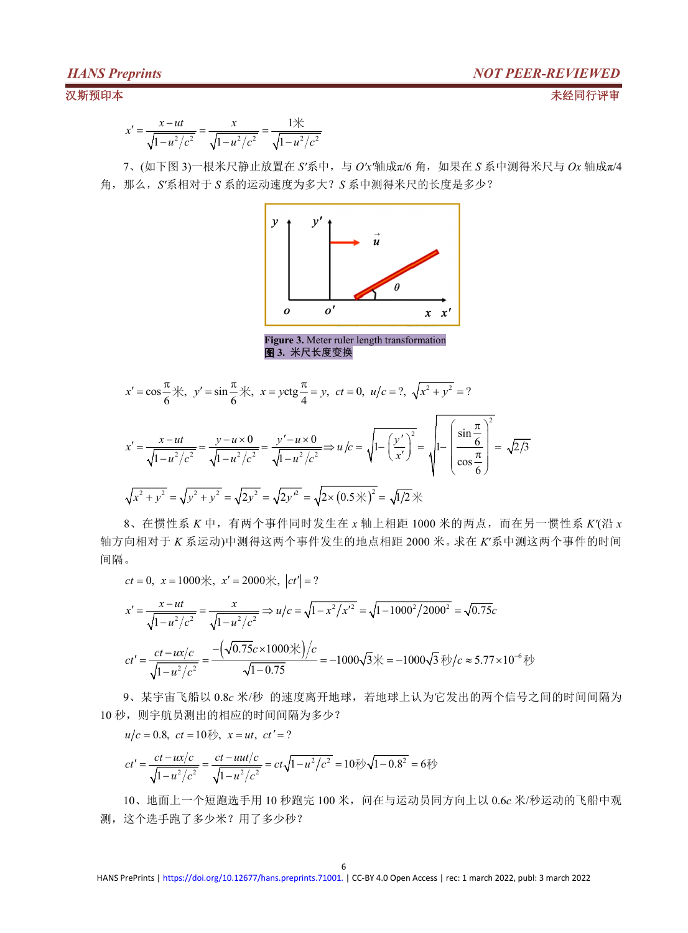$$
x' = \frac{x - ut}{\sqrt{1 - u^2/c^2}} = \frac{x}{\sqrt{1 - u^2/c^2}} = \frac{1\cancel{\times}}{\sqrt{1 - u^2/c^2}}
$$

7、(如下图 3)一根米尺静止放置在 *S'*系中,与 *O'x'*轴成π/6 角,如果在 *S* 系中测得米尺与 *Ox* 轴成π/4 角,那么,*S'*系相对于 *S* 系的运动速度为多大?*S* 系中测得米尺的长度是多少?



 $x' = \cos{\frac{\pi}{6}}$   $\frac{1}{\sqrt{6}}$ ,  $y' = \sin{\frac{\pi}{6}}$   $\frac{1}{\sqrt{6}}$ ,  $x = y \cos{\frac{\pi}{4}} = y$ ,  $ct = 0$ ,  $u/c = ?$ ,  $\sqrt{x^2 + y^2} = ?$ 2  $\frac{ut}{\sqrt{2/\lambda^2}} = \frac{y - u \times 0}{\sqrt{1 - u^2/\lambda^2}} = \frac{y' - u \times 0}{\sqrt{1 - u^2/\lambda^2}} \Rightarrow u/c = \sqrt{1 - \left(\frac{y'}{x'}\right)^2} = \sqrt{1 - \left(\frac{\sin \frac{\pi}{6}}{x}\right)^2} = \sqrt{2/3}$  $1-u^2/c^2$   $\sqrt{1-u^2/c^2}$   $\sqrt{1-u^2/c^2}$   $\sqrt{1-u^2/c^2}$   $\sqrt{1-x^2/c^2}$   $\sqrt{1-x^2/c^2}$  $x' = \frac{x - ut}{\sqrt{1 - u^2/c^2}} = \frac{y - u \times 0}{\sqrt{1 - u^2/c^2}} = \frac{y' - u \times 0}{\sqrt{1 - u^2/c^2}} \Rightarrow u/c = \sqrt{1 - \left(\frac{y'}{x'}\right)^2} = \sqrt{1 - \left(\frac{\sin \frac{\pi}{6}}{\cos \frac{\pi}{6}}\right)} = \sqrt{2/3}$  $\left(\begin{array}{c} \pi \end{array}\right)^2$  $u' = \frac{x - ut}{\sqrt{1 - u^2/c^2}} = \frac{y - u \times 0}{\sqrt{1 - u^2/c^2}} = \frac{y' - u \times 0}{\sqrt{1 - u^2/c^2}} \Rightarrow u/c = \sqrt{1 - \left(\frac{y'}{x'}\right)^2} = \sqrt{1 - \left(\frac{\sin \frac{\pi}{6}}{\cos \frac{\pi}{6}}\right)} = \sqrt{2/3}$  $\binom{36}{ }$  $x^2 + y^2 = \sqrt{y^2 + y^2} = \sqrt{2y^2} = \sqrt{2y^2} = \sqrt{2 \times (0.5 \cdot \mathcal{K})^2} = \sqrt{1/2} \cdot \mathcal{K}$ 

8、在惯性系 *K* 中,有两个事件同时发生在 *x* 轴上相距 1000 米的两点,而在另一惯性系 *K'*(沿 *x* 轴方向相对于 *K* 系运动)中测得这两个事件发生的地点相距 2000 米。求在 *K*′系中测这两个事件的时间 间隔。

$$
ct = 0
$$
,  $x = 1000$ %,  $x' = 2000$ %,  $|ct'| = ?$ 

$$
x' = \frac{x - ut}{\sqrt{1 - u^2/c^2}} = \frac{x}{\sqrt{1 - u^2/c^2}} \Rightarrow u/c = \sqrt{1 - x^2/x'^2} = \sqrt{1 - 1000^2/2000^2} = \sqrt{0.75}c
$$
  

$$
ct' = \frac{ct - ux/c}{\sqrt{1 - u^2/c^2}} = \frac{-\left(\sqrt{0.75}c \times 1000\right) \times}{\sqrt{1 - 0.75}} = -1000\sqrt{3} \approx 5.77 \times 10^{-6} \text{ W}
$$

9、某宇宙飞船以 0.8*c* 米/秒 的速度离开地球,若地球上认为它发出的两个信号之间的时间间隔为 10 秒, 则宇航员测出的相应的时间间隔为多少?

$$
u/c = 0.8
$$
,  $ct = 10$   $\frac{dy}{dx}$ ,  $x = ut$ ,  $ct' = ?$ 

$$
ct' = \frac{ct - ux/c}{\sqrt{1 - u^2/c^2}} = \frac{ct - uut/c}{\sqrt{1 - u^2/c^2}} = ct\sqrt{1 - u^2/c^2} = 10\sqrt[4]{\sqrt{1 - 0.8^2}} = 6\sqrt[4]{\sqrt{1 - 0.8^2}} = 6\sqrt[4]{\sqrt{1 - 0.8^2}} = 6\sqrt[4]{\sqrt{1 - 0.8^2}} = 6\sqrt[4]{\sqrt{1 - 0.8^2}} = 6\sqrt[4]{\sqrt{1 - 0.8^2}} = 6\sqrt[4]{\sqrt{1 - 0.8^2}} = 6\sqrt[4]{\sqrt{1 - 0.8^2}} = 6\sqrt[4]{\sqrt{1 - 0.8^2}} = 6\sqrt[4]{\sqrt{1 - 0.8^2}} = 6\sqrt[4]{\sqrt{1 - 0.8^2}} = 6\sqrt[4]{\sqrt{1 - 0.8^2}} = 6\sqrt[4]{\sqrt{1 - 0.8^2}} = 6\sqrt[4]{\sqrt{1 - 0.8^2}} = 6\sqrt[4]{\sqrt{1 - 0.8^2}} = 6\sqrt[4]{\sqrt{1 - 0.8^2}} = 6\sqrt[4]{\sqrt{1 - 0.8^2}} = 6\sqrt[4]{\sqrt{1 - 0.8^2}} = 6\sqrt[4]{\sqrt{1 - 0.8^2}} = 6\sqrt[4]{\sqrt{1 - 0.8^2}} = 6\sqrt[4]{\sqrt{1 - 0.8^2}} = 6\sqrt[4]{\sqrt{1 - 0.8^2}} = 6\sqrt[4]{\sqrt{1 - 0.8^2}} = 6\sqrt[4]{\sqrt{1 - 0.8^2}} = 6\sqrt[4]{\sqrt{1 - 0.8^2}} = 6\sqrt[4]{\sqrt{1 - 0.8^2}} = 6\sqrt[4]{\sqrt{1 - 0.8^2}} = 6\sqrt[4]{\sqrt{1 - 0.8^2}} = 6\sqrt[4]{\sqrt{1 - 0.8^2}} = 6\sqrt[4]{\sqrt{1 - 0.8^2}} = 6\sqrt[4]{\sqrt{1 - 0.8^2}} = 6\sqrt[4]{\sqrt{1 - 0.8^2}} = 6\sqrt[4]{\sqrt{1 - 0.8^2}} = 6\sqrt[4]{\sqrt{1 - 0.8^2}} = 6\sqrt[4]{\sqrt{1 - 0.8^2
$$

10、地面上一个短跑选手用 10 秒跑完 100 米, 问在与运动员同方向上以 0.6c 米/秒运动的飞船中观 测,这个选手跑了多少米?用了多少秒?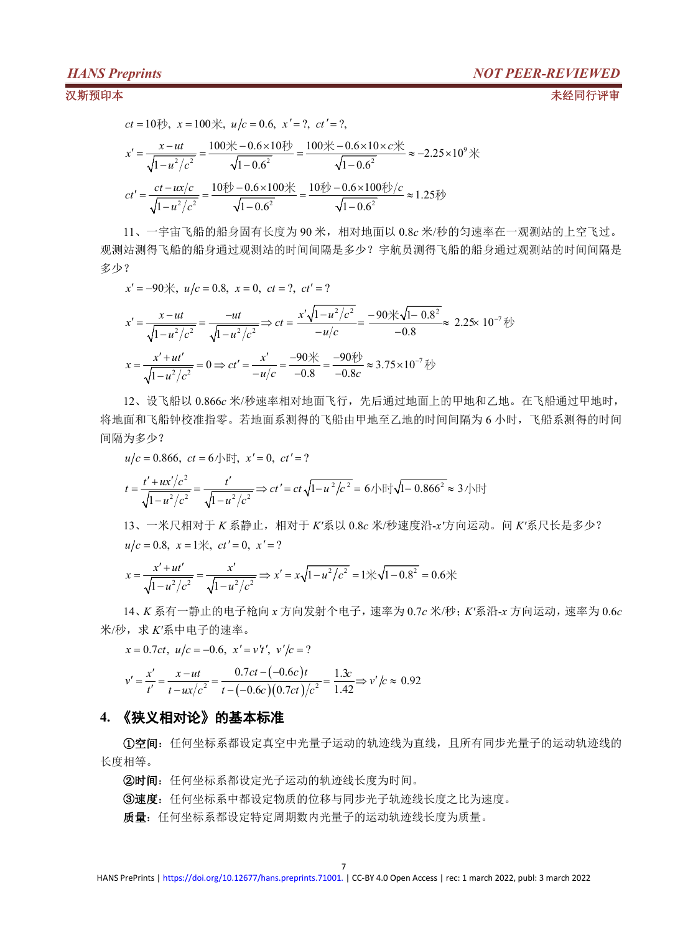汉斯预印本 未经同行评审

$$
ct = 10\frac{1}{2}\% , x = 100\% , u/c = 0.6, x' = ?, ct' = ?,
$$
\n
$$
x' = \frac{x - ut}{\sqrt{1 - u^2/c^2}} = \frac{100\% - 0.6 \times 10\frac{1}{2}}{\sqrt{1 - 0.6^2}} = \frac{100\% - 0.6 \times 10 \times c\frac{1}{2}}{\sqrt{1 - 0.6^2}} \approx -2.25 \times 10^9\%
$$
\n
$$
ct' = \frac{ct - ux/c}{\sqrt{1 - u^2/c^2}} = \frac{10\frac{1}{2}\% - 0.6 \times 100\frac{1}{2}}{\sqrt{1 - 0.6^2}} = \frac{10\frac{1}{2}\% - 0.6 \times 100\frac{1}{2}}{\sqrt{1 - 0.6^2}} \approx 1.25\%
$$

11、一宇宙飞船的船身固有长度为 90 米,相对地面以 0.8*c*米/秒的匀速率在一观测站的上空飞过。 观测站测得飞船的船身通过观测站的时间间隔是多少?宇航员测得飞船的船身通过观测站的时间间隔是 多少?

$$
x' = -90\%, \ u/c = 0.8, \ x = 0, \ ct = ?, \ ct' = ?
$$
  

$$
x' = \frac{x - ut}{\sqrt{1 - u^2/c^2}} = \frac{-ut}{\sqrt{1 - u^2/c^2}} \Rightarrow ct = \frac{x'\sqrt{1 - u^2/c^2}}{-u/c} = \frac{-90\sqrt{1 - 0.8^2}}{-0.8} \approx 2.25 \times 10^{-7} \text{ Fb}
$$
  

$$
x = \frac{x' + ut'}{\sqrt{1 - u^2/c^2}} = 0 \Rightarrow ct' = \frac{x'}{-u/c} = \frac{-90\sqrt{1 - 0.8^2}}{-0.8} \approx 3.75 \times 10^{-7} \text{ Fb}
$$

12、设飞船以 0.866*c* 米/秒速率相对地面飞行,先后通过地面上的甲地和乙地。在飞船通过甲地时, 将地面和飞船钟校准指零。若地面系测得的飞船由甲地至乙地的时间间隔为 6 小时,飞船系测得的时间 间隔为多少?

$$
u/c = 0.866, ct = 6/\text{Hz}, x' = 0, ct' = ?
$$
  

$$
t = \frac{t' + ux'/c^2}{\sqrt{1 - u^2/c^2}} = \frac{t'}{\sqrt{1 - u^2/c^2}} \Rightarrow ct' = ct\sqrt{1 - u^2/c^2} = 6/\text{Hz}/\sqrt{1 - 0.866^2} \approx 3/\text{Hz}
$$

13、一米尺相对于 *K* 系静止,相对于 *K'*系以 0.8*c* 米/秒速度沿-*x'*方向运动。问 *K'*系尺长是多少?  $u/c = 0.8$ ,  $x = 1$  $\forall x$ ,  $ct' = 0$ ,  $x' = ?$ 

$$
x = \frac{x' + ut'}{\sqrt{1 - u^2/c^2}} = \frac{x'}{\sqrt{1 - u^2/c^2}} \Rightarrow x' = x\sqrt{1 - u^2/c^2} = 1\frac{\sqrt{1 - 0.8^2}}{\sqrt{1 - 0.8^2}} = 0.6\frac{\sqrt{1 - 0.8^2}}{\sqrt{1 - 0.8^2}} = 0.6\frac{\sqrt{1 - 0.8^2}}{\sqrt{1 - 0.8^2}} = 0.6\frac{\sqrt{1 - 0.8^2}}{\sqrt{1 - 0.8^2}} = 0.6\frac{\sqrt{1 - 0.8^2}}{\sqrt{1 - 0.8^2}} = 0.6\frac{\sqrt{1 - 0.8^2}}{\sqrt{1 - 0.8^2}} = 0.6\frac{\sqrt{1 - 0.8^2}}{\sqrt{1 - 0.8^2}} = 0.6\frac{\sqrt{1 - 0.8^2}}{\sqrt{1 - 0.8^2}} = 0.6\frac{\sqrt{1 - 0.8^2}}{\sqrt{1 - 0.8^2}} = 0.6\frac{\sqrt{1 - 0.8^2}}{\sqrt{1 - 0.8^2}} = 0.6\frac{\sqrt{1 - 0.8^2}}{\sqrt{1 - 0.8^2}} = 0.6\frac{\sqrt{1 - 0.8^2}}{\sqrt{1 - 0.8^2}} = 0.6\frac{\sqrt{1 - 0.8^2}}{\sqrt{1 - 0.8^2}} = 0.6\frac{\sqrt{1 - 0.8^2}}{\sqrt{1 - 0.8^2}} = 0.6\frac{\sqrt{1 - 0.8^2}}{\sqrt{1 - 0.8^2}} = 0.6\frac{\sqrt{1 - 0.8^2}}{\sqrt{1 - 0.8^2}} = 0.6\frac{\sqrt{1 - 0.8^2}}{\sqrt{1 - 0.8^2}} = 0.6\frac{\sqrt{1 - 0.8^2}}{\sqrt{1 - 0.8^2}} = 0.6\frac{\sqrt{1 - 0.8^2}}{\sqrt{1 - 0.8^2}} = 0.6\frac{\sqrt{1 - 0.8^2}}{\sqrt{1 - 0.8^2}} = 0.6\frac{\sqrt{1 - 0.8^2}}{\sqrt{1 - 0.8^2}} = 0.6\frac{\sqrt{1 - 0.8^2}}{\sqrt{1 - 0.8^2}} = 0.6\frac{\sqrt{1 - 0.8^2}}{\sqrt{1
$$

14、*K* 系有一静止的电子枪向 *x* 方向发射个电子,速率为 0.7*c* 米/秒;*K'*系沿-*x* 方向运动,速率为 0.6*c* 米/秒, 求 K'系中电子的速率。

$$
x = 0.7ct, \ u/c = -0.6, \ x' = v't', \ v'/c = ?
$$
  

$$
v' = \frac{x'}{t'} = \frac{x - ut}{t - ux/c^2} = \frac{0.7ct - (-0.6c)t}{t - (-0.6c)(0.7ct)/c^2} = \frac{1.3c}{1.42} \Rightarrow v'/c \approx 0.92
$$

## **4.** 《狭义相对论》的基本标准

①空间:任何坐标系都设定真空中光量子运动的轨迹线为直线,且所有同步光量子的运动轨迹线的 长度相等。

②时间:任何坐标系都设定光子运动的轨迹线长度为时间。

③速度:任何坐标系中都设定物质的位移与同步光子轨迹线长度之比为速度。

质量:任何坐标系都设定特定周期数内光量子的运动轨迹线长度为质量。